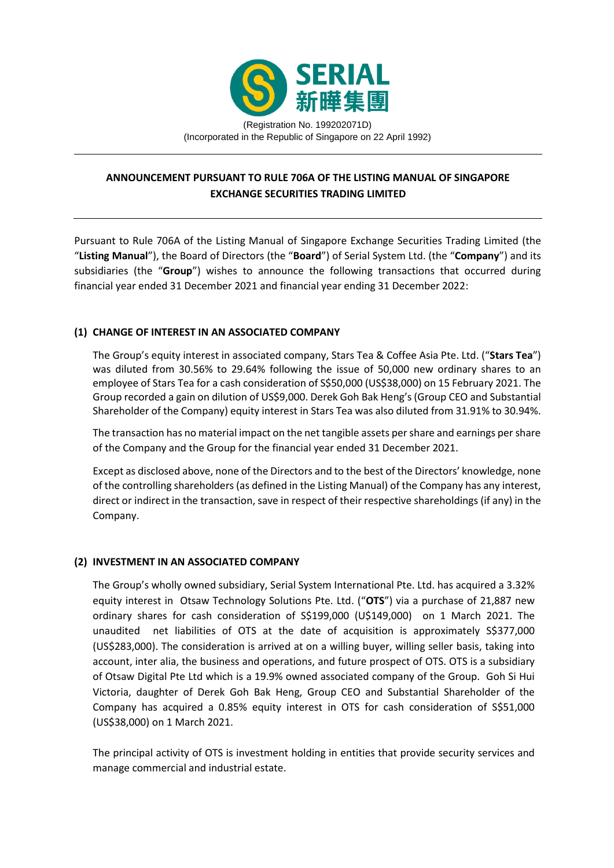

(Incorporated in the Republic of Singapore on 22 April 1992)

# **ANNOUNCEMENT PURSUANT TO RULE 706A OF THE LISTING MANUAL OF SINGAPORE EXCHANGE SECURITIES TRADING LIMITED**

Pursuant to Rule 706A of the Listing Manual of Singapore Exchange Securities Trading Limited (the "**Listing Manual**"), the Board of Directors (the "**Board**") of Serial System Ltd. (the "**Company**") and its subsidiaries (the "**Group**") wishes to announce the following transactions that occurred during financial year ended 31 December 2021 and financial year ending 31 December 2022:

## **(1) CHANGE OF INTEREST IN AN ASSOCIATED COMPANY**

The Group's equity interest in associated company, Stars Tea & Coffee Asia Pte. Ltd. ("**Stars Tea**") was diluted from 30.56% to 29.64% following the issue of 50,000 new ordinary shares to an employee of Stars Tea for a cash consideration of S\$50,000 (US\$38,000) on 15 February 2021. The Group recorded a gain on dilution of US\$9,000. Derek Goh Bak Heng's (Group CEO and Substantial Shareholder of the Company) equity interest in Stars Tea was also diluted from 31.91% to 30.94%.

The transaction has no material impact on the net tangible assets per share and earnings per share of the Company and the Group for the financial year ended 31 December 2021.

Except as disclosed above, none of the Directors and to the best of the Directors' knowledge, none of the controlling shareholders (as defined in the Listing Manual) of the Company has any interest, direct or indirect in the transaction, save in respect of their respective shareholdings (if any) in the Company.

### **(2) INVESTMENT IN AN ASSOCIATED COMPANY**

The Group's wholly owned subsidiary, Serial System International Pte. Ltd. has acquired a 3.32% equity interest in Otsaw Technology Solutions Pte. Ltd. ("**OTS**") via a purchase of 21,887 new ordinary shares for cash consideration of S\$199,000 (U\$149,000) on 1 March 2021. The unaudited net liabilities of OTS at the date of acquisition is approximately S\$377,000 (US\$283,000). The consideration is arrived at on a willing buyer, willing seller basis, taking into account, inter alia, the business and operations, and future prospect of OTS. OTS is a subsidiary of Otsaw Digital Pte Ltd which is a 19.9% owned associated company of the Group. Goh Si Hui Victoria, daughter of Derek Goh Bak Heng, Group CEO and Substantial Shareholder of the Company has acquired a 0.85% equity interest in OTS for cash consideration of S\$51,000 (US\$38,000) on 1 March 2021.

The principal activity of OTS is investment holding in entities that provide security services and manage commercial and industrial estate.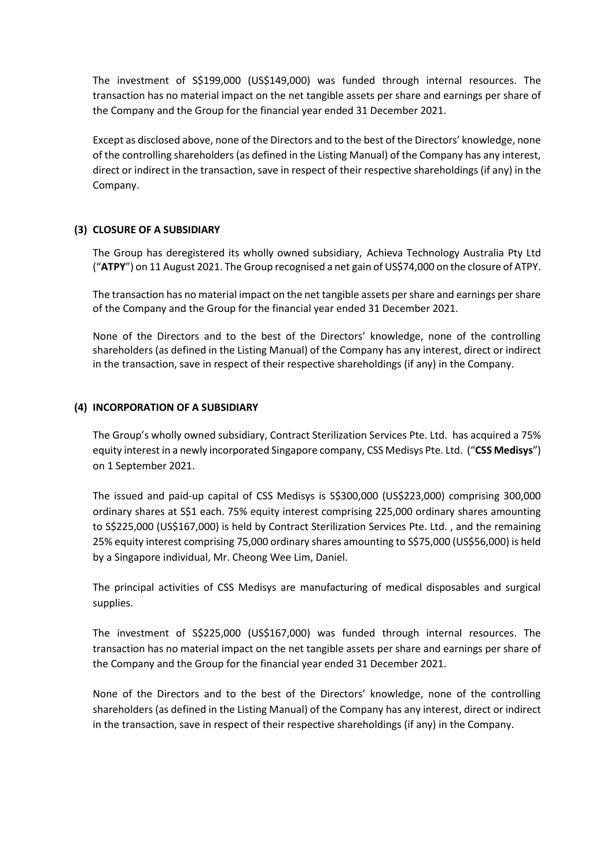The investment of S\$199,000 (US\$149,000) was funded through internal resources. The transaction has no material impact on the net tangible assets per share and earnings per share of the Company and the Group for the financial year ended 31 December 2021.

Except as disclosed above, none of the Directors and to the best of the Directors' knowledge, none of the controlling shareholders (as defined in the Listing Manual) of the Company has any interest, direct or indirect in the transaction, save in respect of their respective shareholdings (if any) in the Company.

### **(3) CLOSURE OF A SUBSIDIARY**

The Group has deregistered its wholly owned subsidiary, Achieva Technology Australia Pty Ltd ("**ATPY**") on 11 August 2021. The Group recognised a net gain of US\$74,000 on the closure of ATPY.

The transaction has no material impact on the net tangible assets per share and earnings per share of the Company and the Group for the financial year ended 31 December 2021.

None of the Directors and to the best of the Directors' knowledge, none of the controlling shareholders (as defined in the Listing Manual) of the Company has any interest, direct or indirect in the transaction, save in respect of their respective shareholdings (if any) in the Company.

### **(4) INCORPORATION OF A SUBSIDIARY**

The Group's wholly owned subsidiary, Contract Sterilization Services Pte. Ltd. has acquired a 75% equity interest in a newly incorporated Singapore company, CSS Medisys Pte. Ltd. ("**CSS Medisys**") on 1 September 2021.

The issued and paid-up capital of CSS Medisys is S\$300,000 (US\$223,000) comprising 300,000 ordinary shares at S\$1 each. 75% equity interest comprising 225,000 ordinary shares amounting to S\$225,000 (US\$167,000) is held by Contract Sterilization Services Pte. Ltd. , and the remaining 25% equity interest comprising 75,000 ordinary shares amounting to S\$75,000 (US\$56,000) is held by a Singapore individual, Mr. Cheong Wee Lim, Daniel.

The principal activities of CSS Medisys are manufacturing of medical disposables and surgical supplies.

The investment of S\$225,000 (US\$167,000) was funded through internal resources. The transaction has no material impact on the net tangible assets per share and earnings per share of the Company and the Group for the financial year ended 31 December 2021.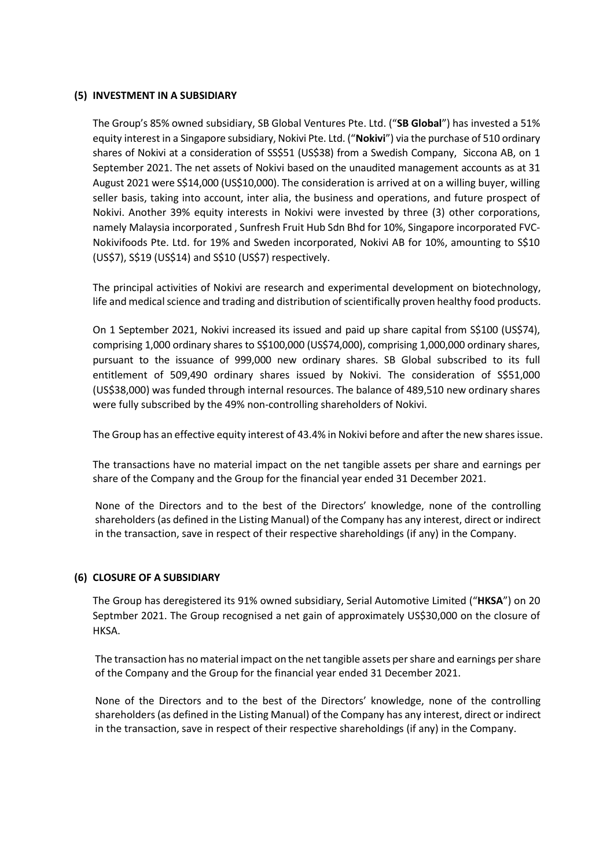### **(5) INVESTMENT IN A SUBSIDIARY**

The Group's 85% owned subsidiary, SB Global Ventures Pte. Ltd. ("**SB Global**") has invested a 51% equity interest in a Singapore subsidiary, Nokivi Pte. Ltd. ("**Nokivi**") via the purchase of 510 ordinary shares of Nokivi at a consideration of SS\$51 (US\$38) from a Swedish Company, Siccona AB, on 1 September 2021. The net assets of Nokivi based on the unaudited management accounts as at 31 August 2021 were S\$14,000 (US\$10,000). The consideration is arrived at on a willing buyer, willing seller basis, taking into account, inter alia, the business and operations, and future prospect of Nokivi. Another 39% equity interests in Nokivi were invested by three (3) other corporations, namely Malaysia incorporated , Sunfresh Fruit Hub Sdn Bhd for 10%, Singapore incorporated FVC-Nokivifoods Pte. Ltd. for 19% and Sweden incorporated, Nokivi AB for 10%, amounting to S\$10 (US\$7), S\$19 (US\$14) and S\$10 (US\$7) respectively.

The principal activities of Nokivi are research and experimental development on biotechnology, life and medical science and trading and distribution of scientifically proven healthy food products.

On 1 September 2021, Nokivi increased its issued and paid up share capital from S\$100 (US\$74), comprising 1,000 ordinary shares to S\$100,000 (US\$74,000), comprising 1,000,000 ordinary shares, pursuant to the issuance of 999,000 new ordinary shares. SB Global subscribed to its full entitlement of 509,490 ordinary shares issued by Nokivi. The consideration of S\$51,000 (US\$38,000) was funded through internal resources. The balance of 489,510 new ordinary shares were fully subscribed by the 49% non-controlling shareholders of Nokivi.

The Group has an effective equity interest of 43.4% in Nokivi before and after the new shares issue.

The transactions have no material impact on the net tangible assets per share and earnings per share of the Company and the Group for the financial year ended 31 December 2021.

None of the Directors and to the best of the Directors' knowledge, none of the controlling shareholders (as defined in the Listing Manual) of the Company has any interest, direct or indirect in the transaction, save in respect of their respective shareholdings (if any) in the Company.

### **(6) CLOSURE OF A SUBSIDIARY**

The Group has deregistered its 91% owned subsidiary, Serial Automotive Limited ("**HKSA**") on 20 Septmber 2021. The Group recognised a net gain of approximately US\$30,000 on the closure of HKSA.

The transaction has no material impact on the net tangible assets per share and earnings per share of the Company and the Group for the financial year ended 31 December 2021.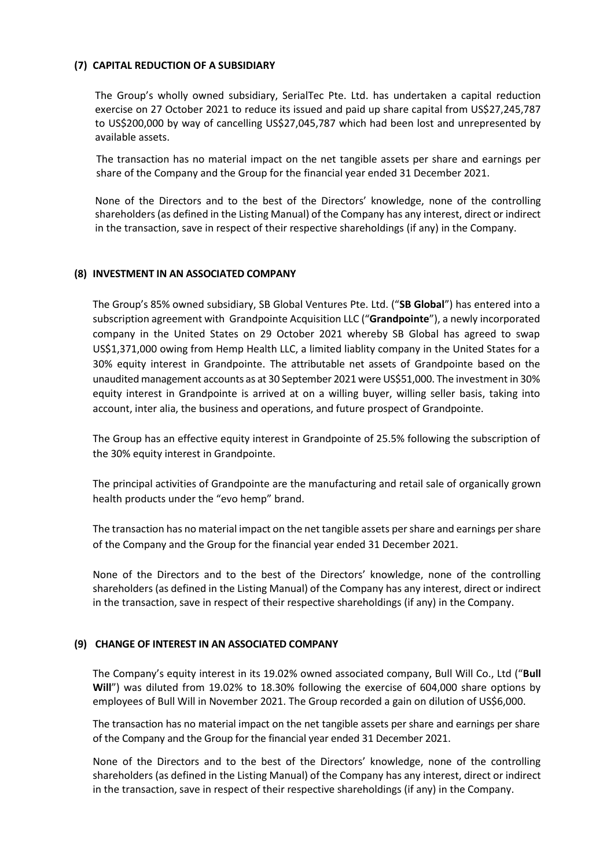### **(7) CAPITAL REDUCTION OF A SUBSIDIARY**

The Group's wholly owned subsidiary, SerialTec Pte. Ltd. has undertaken a capital reduction exercise on 27 October 2021 to reduce its issued and paid up share capital from US\$27,245,787 to US\$200,000 by way of cancelling US\$27,045,787 which had been lost and unrepresented by available assets.

The transaction has no material impact on the net tangible assets per share and earnings per share of the Company and the Group for the financial year ended 31 December 2021.

None of the Directors and to the best of the Directors' knowledge, none of the controlling shareholders (as defined in the Listing Manual) of the Company has any interest, direct or indirect in the transaction, save in respect of their respective shareholdings (if any) in the Company.

### **(8) INVESTMENT IN AN ASSOCIATED COMPANY**

The Group's 85% owned subsidiary, SB Global Ventures Pte. Ltd. ("**SB Global**") has entered into a subscription agreement with Grandpointe Acquisition LLC ("**Grandpointe**"), a newly incorporated company in the United States on 29 October 2021 whereby SB Global has agreed to swap US\$1,371,000 owing from Hemp Health LLC, a limited liablity company in the United States for a 30% equity interest in Grandpointe. The attributable net assets of Grandpointe based on the unaudited management accounts as at 30 September 2021 were US\$51,000. The investment in 30% equity interest in Grandpointe is arrived at on a willing buyer, willing seller basis, taking into account, inter alia, the business and operations, and future prospect of Grandpointe.

The Group has an effective equity interest in Grandpointe of 25.5% following the subscription of the 30% equity interest in Grandpointe.

The principal activities of Grandpointe are the manufacturing and retail sale of organically grown health products under the "evo hemp" brand.

The transaction has no material impact on the net tangible assets per share and earnings per share of the Company and the Group for the financial year ended 31 December 2021.

None of the Directors and to the best of the Directors' knowledge, none of the controlling shareholders (as defined in the Listing Manual) of the Company has any interest, direct or indirect in the transaction, save in respect of their respective shareholdings (if any) in the Company.

### **(9) CHANGE OF INTEREST IN AN ASSOCIATED COMPANY**

The Company's equity interest in its 19.02% owned associated company, Bull Will Co., Ltd ("**Bull Will**") was diluted from 19.02% to 18.30% following the exercise of 604,000 share options by employees of Bull Will in November 2021. The Group recorded a gain on dilution of US\$6,000.

The transaction has no material impact on the net tangible assets per share and earnings per share of the Company and the Group for the financial year ended 31 December 2021.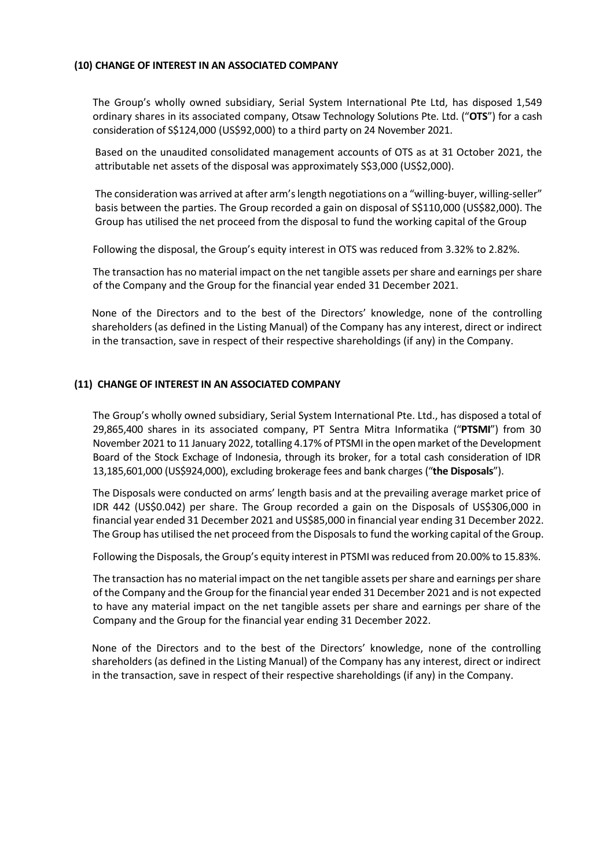### **(10) CHANGE OF INTEREST IN AN ASSOCIATED COMPANY**

The Group's wholly owned subsidiary, Serial System International Pte Ltd, has disposed 1,549 ordinary shares in its associated company, Otsaw Technology Solutions Pte. Ltd. ("**OTS**") for a cash consideration of S\$124,000 (US\$92,000) to a third party on 24 November 2021.

Based on the unaudited consolidated management accounts of OTS as at 31 October 2021, the attributable net assets of the disposal was approximately S\$3,000 (US\$2,000).

The consideration was arrived at after arm's length negotiations on a "willing-buyer, willing-seller" basis between the parties. The Group recorded a gain on disposal of S\$110,000 (US\$82,000). The Group has utilised the net proceed from the disposal to fund the working capital of the Group

Following the disposal, the Group's equity interest in OTS was reduced from 3.32% to 2.82%.

The transaction has no material impact on the net tangible assets per share and earnings per share of the Company and the Group for the financial year ended 31 December 2021.

None of the Directors and to the best of the Directors' knowledge, none of the controlling shareholders (as defined in the Listing Manual) of the Company has any interest, direct or indirect in the transaction, save in respect of their respective shareholdings (if any) in the Company.

### **(11) CHANGE OF INTEREST IN AN ASSOCIATED COMPANY**

The Group's wholly owned subsidiary, Serial System International Pte. Ltd., has disposed a total of 29,865,400 shares in its associated company, PT Sentra Mitra Informatika ("**PTSMI**") from 30 November 2021 to 11 January 2022, totalling 4.17% of PTSMI in the open market of the Development Board of the Stock Exchage of Indonesia, through its broker, for a total cash consideration of IDR 13,185,601,000 (US\$924,000), excluding brokerage fees and bank charges ("**the Disposals**").

The Disposals were conducted on arms' length basis and at the prevailing average market price of IDR 442 (US\$0.042) per share. The Group recorded a gain on the Disposals of US\$306,000 in financial year ended 31 December 2021 and US\$85,000 in financial year ending 31 December 2022. The Group has utilised the net proceed from the Disposals to fund the working capital of the Group.

Following the Disposals, the Group's equity interest in PTSMI was reduced from 20.00% to 15.83%.

The transaction has no material impact on the net tangible assets per share and earnings per share of the Company and the Group for the financial year ended 31 December 2021 and is not expected to have any material impact on the net tangible assets per share and earnings per share of the Company and the Group for the financial year ending 31 December 2022.